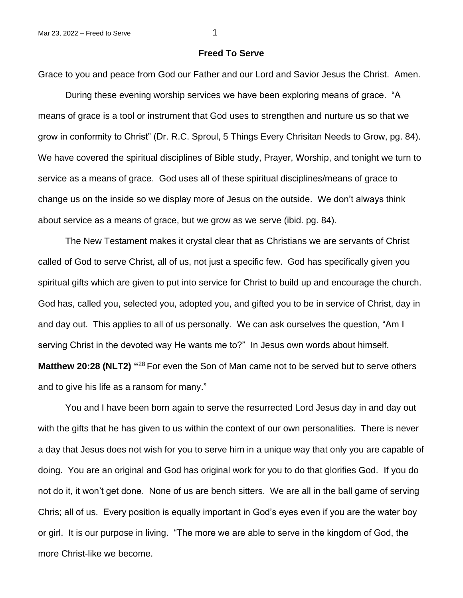## **Freed To Serve**

Grace to you and peace from God our Father and our Lord and Savior Jesus the Christ. Amen.

During these evening worship services we have been exploring means of grace. "A means of grace is a tool or instrument that God uses to strengthen and nurture us so that we grow in conformity to Christ" (Dr. R.C. Sproul, 5 Things Every Chrisitan Needs to Grow, pg. 84). We have covered the spiritual disciplines of Bible study, Prayer, Worship, and tonight we turn to service as a means of grace. God uses all of these spiritual disciplines/means of grace to change us on the inside so we display more of Jesus on the outside. We don't always think about service as a means of grace, but we grow as we serve (ibid. pg. 84).

The New Testament makes it crystal clear that as Christians we are servants of Christ called of God to serve Christ, all of us, not just a specific few. God has specifically given you spiritual gifts which are given to put into service for Christ to build up and encourage the church. God has, called you, selected you, adopted you, and gifted you to be in service of Christ, day in and day out. This applies to all of us personally. We can ask ourselves the question, "Am I serving Christ in the devoted way He wants me to?" In Jesus own words about himself.

Matthew 20:28 (NLT2) "<sup>28</sup> For even the Son of Man came not to be served but to serve others and to give his life as a ransom for many."

You and I have been born again to serve the resurrected Lord Jesus day in and day out with the gifts that he has given to us within the context of our own personalities. There is never a day that Jesus does not wish for you to serve him in a unique way that only you are capable of doing. You are an original and God has original work for you to do that glorifies God. If you do not do it, it won't get done. None of us are bench sitters. We are all in the ball game of serving Chris; all of us. Every position is equally important in God's eyes even if you are the water boy or girl. It is our purpose in living. "The more we are able to serve in the kingdom of God, the more Christ-like we become.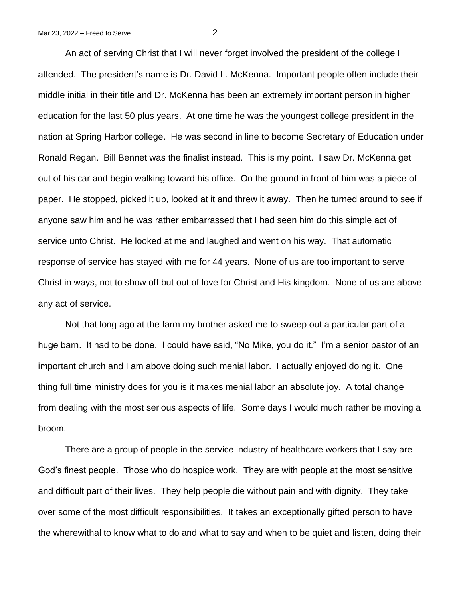An act of serving Christ that I will never forget involved the president of the college I attended. The president's name is Dr. David L. McKenna. Important people often include their middle initial in their title and Dr. McKenna has been an extremely important person in higher education for the last 50 plus years. At one time he was the youngest college president in the nation at Spring Harbor college. He was second in line to become Secretary of Education under Ronald Regan. Bill Bennet was the finalist instead. This is my point. I saw Dr. McKenna get out of his car and begin walking toward his office. On the ground in front of him was a piece of paper. He stopped, picked it up, looked at it and threw it away. Then he turned around to see if anyone saw him and he was rather embarrassed that I had seen him do this simple act of service unto Christ. He looked at me and laughed and went on his way. That automatic response of service has stayed with me for 44 years. None of us are too important to serve Christ in ways, not to show off but out of love for Christ and His kingdom. None of us are above any act of service.

Not that long ago at the farm my brother asked me to sweep out a particular part of a huge barn. It had to be done. I could have said, "No Mike, you do it." I'm a senior pastor of an important church and I am above doing such menial labor. I actually enjoyed doing it. One thing full time ministry does for you is it makes menial labor an absolute joy. A total change from dealing with the most serious aspects of life. Some days I would much rather be moving a broom.

There are a group of people in the service industry of healthcare workers that I say are God's finest people. Those who do hospice work. They are with people at the most sensitive and difficult part of their lives. They help people die without pain and with dignity. They take over some of the most difficult responsibilities. It takes an exceptionally gifted person to have the wherewithal to know what to do and what to say and when to be quiet and listen, doing their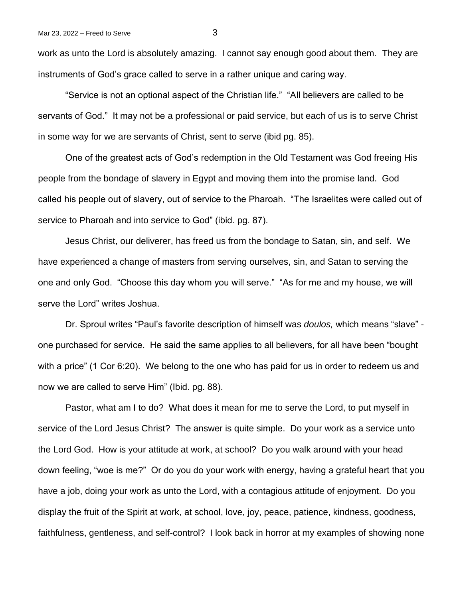work as unto the Lord is absolutely amazing. I cannot say enough good about them. They are instruments of God's grace called to serve in a rather unique and caring way.

"Service is not an optional aspect of the Christian life." "All believers are called to be servants of God." It may not be a professional or paid service, but each of us is to serve Christ in some way for we are servants of Christ, sent to serve (ibid pg. 85).

One of the greatest acts of God's redemption in the Old Testament was God freeing His people from the bondage of slavery in Egypt and moving them into the promise land. God called his people out of slavery, out of service to the Pharoah. "The Israelites were called out of service to Pharoah and into service to God" (ibid. pg. 87).

Jesus Christ, our deliverer, has freed us from the bondage to Satan, sin, and self. We have experienced a change of masters from serving ourselves, sin, and Satan to serving the one and only God. "Choose this day whom you will serve." "As for me and my house, we will serve the Lord" writes Joshua.

Dr. Sproul writes "Paul's favorite description of himself was *doulos,* which means "slave" one purchased for service. He said the same applies to all believers, for all have been "bought with a price" (1 Cor 6:20). We belong to the one who has paid for us in order to redeem us and now we are called to serve Him" (Ibid. pg. 88).

Pastor, what am I to do? What does it mean for me to serve the Lord, to put myself in service of the Lord Jesus Christ? The answer is quite simple. Do your work as a service unto the Lord God. How is your attitude at work, at school? Do you walk around with your head down feeling, "woe is me?" Or do you do your work with energy, having a grateful heart that you have a job, doing your work as unto the Lord, with a contagious attitude of enjoyment. Do you display the fruit of the Spirit at work, at school, love, joy, peace, patience, kindness, goodness, faithfulness, gentleness, and self-control? I look back in horror at my examples of showing none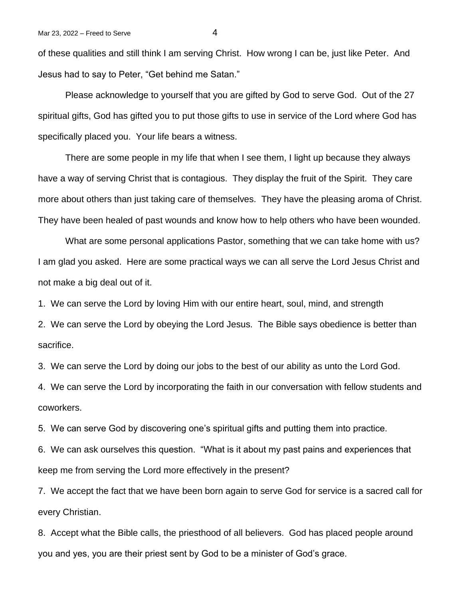of these qualities and still think I am serving Christ. How wrong I can be, just like Peter. And Jesus had to say to Peter, "Get behind me Satan."

Please acknowledge to yourself that you are gifted by God to serve God. Out of the 27 spiritual gifts, God has gifted you to put those gifts to use in service of the Lord where God has specifically placed you. Your life bears a witness.

There are some people in my life that when I see them, I light up because they always have a way of serving Christ that is contagious. They display the fruit of the Spirit. They care more about others than just taking care of themselves. They have the pleasing aroma of Christ. They have been healed of past wounds and know how to help others who have been wounded.

What are some personal applications Pastor, something that we can take home with us? I am glad you asked. Here are some practical ways we can all serve the Lord Jesus Christ and not make a big deal out of it.

1. We can serve the Lord by loving Him with our entire heart, soul, mind, and strength

2. We can serve the Lord by obeying the Lord Jesus. The Bible says obedience is better than sacrifice.

3. We can serve the Lord by doing our jobs to the best of our ability as unto the Lord God.

4. We can serve the Lord by incorporating the faith in our conversation with fellow students and coworkers.

5. We can serve God by discovering one's spiritual gifts and putting them into practice.

6. We can ask ourselves this question. "What is it about my past pains and experiences that keep me from serving the Lord more effectively in the present?

7. We accept the fact that we have been born again to serve God for service is a sacred call for every Christian.

8. Accept what the Bible calls, the priesthood of all believers. God has placed people around you and yes, you are their priest sent by God to be a minister of God's grace.